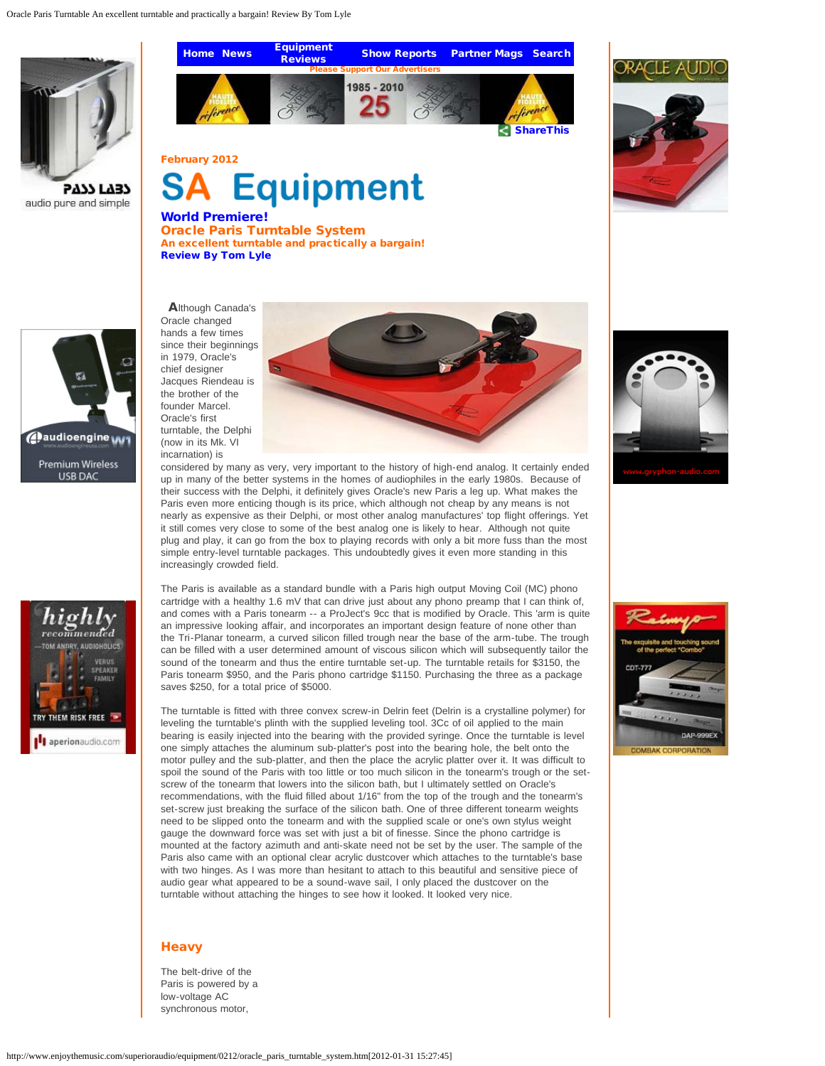

**5777 FY37** audio pure and simple

# [Home](http://www.enjoythemusic.com/) [News](http://www.enjoythemusic.com/news/) [Equipment](http://www.enjoythemusic.com/magazine/) **[Show Reports](http://www.enjoythemusic.com/showreports/) [Partner Mags](http://www.enjoythemusic.com/partneredmagazines.htm) [Search](http://www.enjoythemusic.com/)** Please Support Our Advertisers 1985 - 2010 **[ShareThis](javascript:void(0))**

February 2012



World Premiere! Oracle Paris Turntable System An excellent turntable and practically a bargain! [Review By Tom Lyle](http://www.enjoythemusic.com/magazine/reviewers/)





Oracle changed hands a few times since their beginnings in 1979, Oracle's chief designer Jacques Riendeau is the brother of the founder Marcel. Oracle's first turntable, the Delphi (now in its Mk. VI incarnation) is



considered by many as very, very important to the history of high-end analog. It certainly ended up in many of the better systems in the homes of audiophiles in the early 1980s. Because of their success with the Delphi, it definitely gives Oracle's new Paris a leg up. What makes the Paris even more enticing though is its price, which although not cheap by any means is not nearly as expensive as their Delphi, or most other analog manufactures' top flight offerings. Yet it still comes very close to some of the best analog one is likely to hear. Although not quite plug and play, it can go from the box to playing records with only a bit more fuss than the most simple entry-level turntable packages. This undoubtedly gives it even more standing in this increasingly crowded field.

The Paris is available as a standard bundle with a Paris high output Moving Coil (MC) phono cartridge with a healthy 1.6 mV that can drive just about any phono preamp that I can think of, and comes with a Paris tonearm -- a ProJect's 9cc that is modified by Oracle. This 'arm is quite an impressive looking affair, and incorporates an important design feature of none other than the Tri-Planar tonearm, a curved silicon filled trough near the base of the arm-tube. The trough can be filled with a user determined amount of viscous silicon which will subsequently tailor the sound of the tonearm and thus the entire turntable set-up. The turntable retails for \$3150, the Paris tonearm \$950, and the Paris phono cartridge \$1150. Purchasing the three as a package saves \$250, for a total price of \$5000.

The turntable is fitted with three convex screw-in Delrin feet (Delrin is a crystalline polymer) for leveling the turntable's plinth with the supplied leveling tool. 3Cc of oil applied to the main bearing is easily injected into the bearing with the provided syringe. Once the turntable is level one simply attaches the aluminum sub-platter's post into the bearing hole, the belt onto the motor pulley and the sub-platter, and then the place the acrylic platter over it. It was difficult to spoil the sound of the Paris with too little or too much silicon in the tonearm's trough or the setscrew of the tonearm that lowers into the silicon bath, but I ultimately settled on Oracle's recommendations, with the fluid filled about 1/16" from the top of the trough and the tonearm's set-screw just breaking the surface of the silicon bath. One of three different tonearm weights need to be slipped onto the tonearm and with the supplied scale or one's own stylus weight gauge the downward force was set with just a bit of finesse. Since the phono cartridge is mounted at the factory azimuth and anti-skate need not be set by the user. The sample of the Paris also came with an optional clear acrylic dustcover which attaches to the turntable's base with two hinges. As I was more than hesitant to attach to this beautiful and sensitive piece of audio gear what appeared to be a sound-wave sail, I only placed the dustcover on the turntable without attaching the hinges to see how it looked. It looked very nice.

# **Heavy**

The belt-drive of the Paris is powered by a low-voltage AC synchronous motor,







http://www.enjoythemusic.com/superioraudio/equipment/0212/oracle\_paris\_turntable\_system.htm[2012-01-31 15:27:45]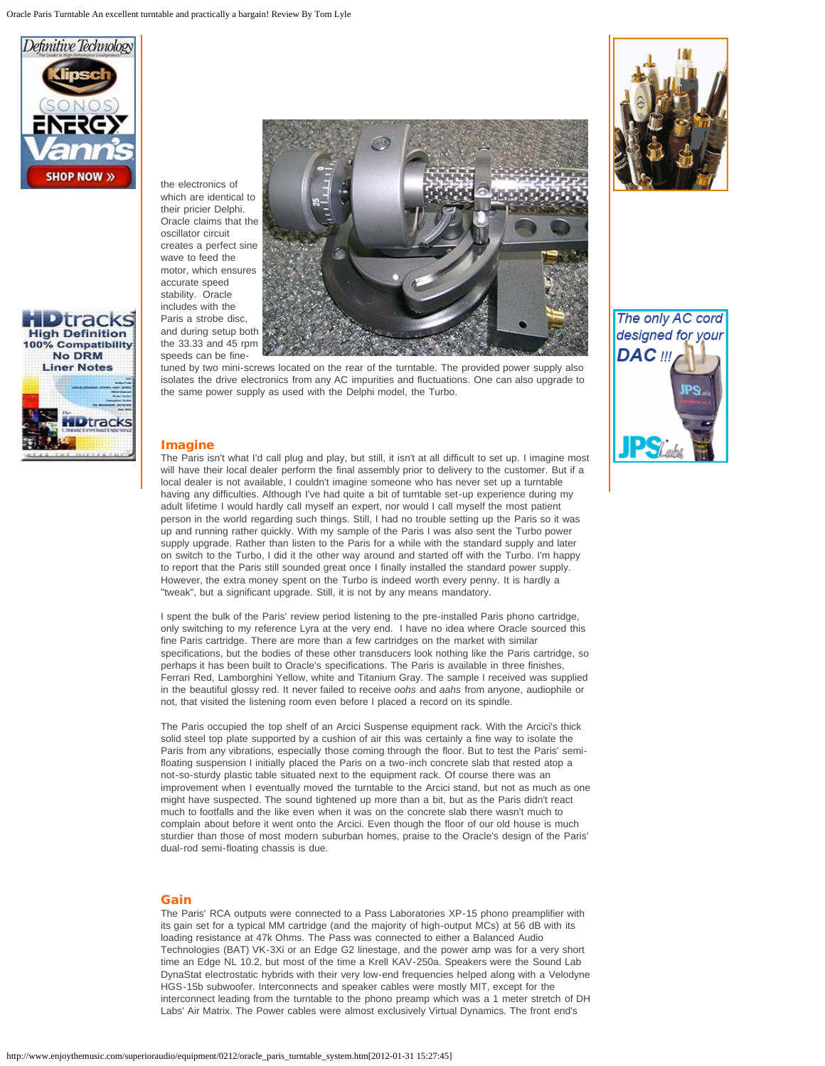



the electronics of which are identical to their pricier Delphi. Oracle claims that the oscillator circuit creates a perfect sine wave to feed the motor, which ensures accurate speed stability. Oracle includes with the Paris a strobe disc, and during setup both the 33.33 and 45 rpm speeds can be fine-



tuned by two mini-screws located on the rear of the turntable. The provided power supply also isolates the drive electronics from any AC impurities and fluctuations. One can also upgrade to the same power supply as used with the Delphi model, the Turbo.

# **Imagine**

The Paris isn't what I'd call plug and play, but still, it isn't at all difficult to set up. I imagine most will have their local dealer perform the final assembly prior to delivery to the customer. But if a local dealer is not available, I couldn't imagine someone who has never set up a turntable having any difficulties. Although I've had quite a bit of turntable set-up experience during my adult lifetime I would hardly call myself an expert, nor would I call myself the most patient person in the world regarding such things. Still, I had no trouble setting up the Paris so it was up and running rather quickly. With my sample of the Paris I was also sent the Turbo power supply upgrade. Rather than listen to the Paris for a while with the standard supply and later on switch to the Turbo, I did it the other way around and started off with the Turbo. I'm happy to report that the Paris still sounded great once I finally installed the standard power supply. However, the extra money spent on the Turbo is indeed worth every penny. It is hardly a "tweak", but a significant upgrade. Still, it is not by any means mandatory.

I spent the bulk of the Paris' review period listening to the pre-installed Paris phono cartridge, only switching to my reference Lyra at the very end. I have no idea where Oracle sourced this fine Paris cartridge. There are more than a few cartridges on the market with similar specifications, but the bodies of these other transducers look nothing like the Paris cartridge, so perhaps it has been built to Oracle's specifications. The Paris is available in three finishes, Ferrari Red, Lamborghini Yellow, white and Titanium Gray. The sample I received was supplied in the beautiful glossy red. It never failed to receive *oohs* and *aahs* from anyone, audiophile or not, that visited the listening room even before I placed a record on its spindle.

The Paris occupied the top shelf of an Arcici Suspense equipment rack. With the Arcici's thick solid steel top plate supported by a cushion of air this was certainly a fine way to isolate the Paris from any vibrations, especially those coming through the floor. But to test the Paris' semifloating suspension I initially placed the Paris on a two-inch concrete slab that rested atop a not-so-sturdy plastic table situated next to the equipment rack. Of course there was an improvement when I eventually moved the turntable to the Arcici stand, but not as much as one might have suspected. The sound tightened up more than a bit, but as the Paris didn't react much to footfalls and the like even when it was on the concrete slab there wasn't much to complain about before it went onto the Arcici. Even though the floor of our old house is much sturdier than those of most modern suburban homes, praise to the Oracle's design of the Paris' dual-rod semi-floating chassis is due.

### Gain

The Paris' RCA outputs were connected to a Pass Laboratories XP-15 phono preamplifier with its gain set for a typical MM cartridge (and the majority of high-output MCs) at 56 dB with its loading resistance at 47k Ohms. The Pass was connected to either a Balanced Audio Technologies (BAT) VK-3Xi or an Edge G2 linestage, and the power amp was for a very short time an Edge NL 10.2, but most of the time a Krell KAV-250a. Speakers were the Sound Lab DynaStat electrostatic hybrids with their very low-end frequencies helped along with a Velodyne HGS-15b subwoofer. Interconnects and speaker cables were mostly MIT, except for the interconnect leading from the turntable to the phono preamp which was a 1 meter stretch of DH Labs' Air Matrix. The Power cables were almost exclusively Virtual Dynamics. The front end's



The only AC cord designed for your **DAC** !!!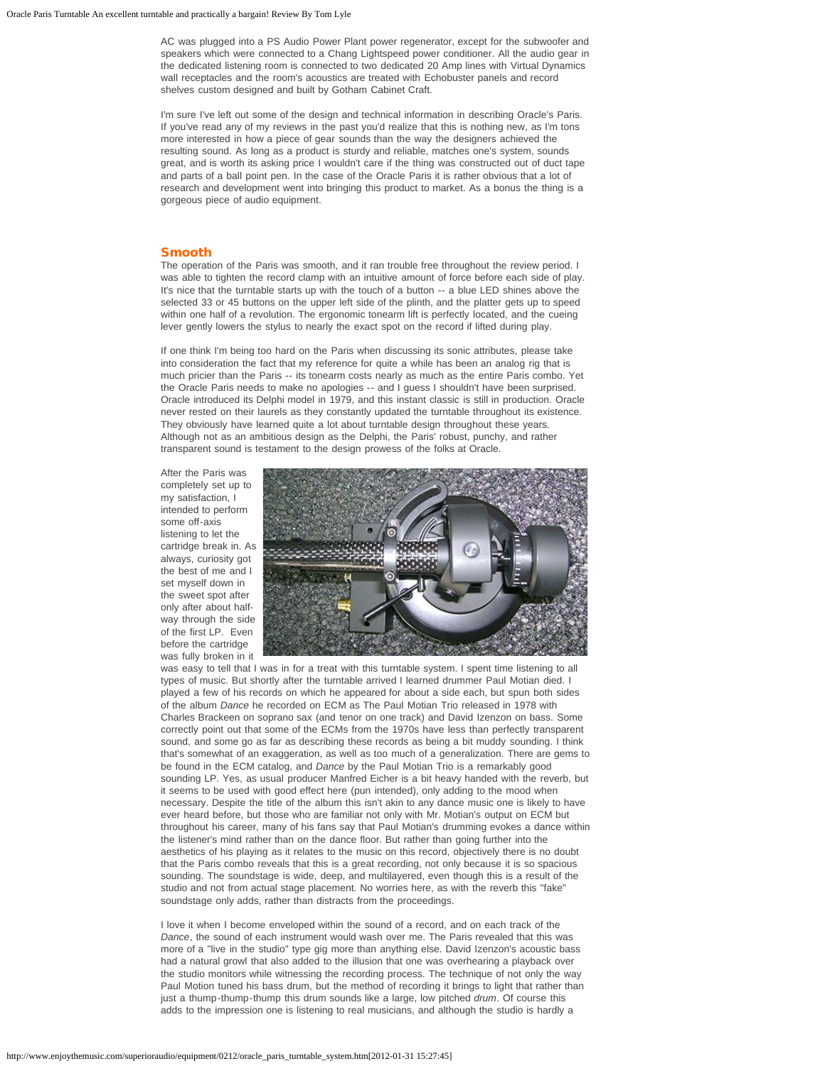AC was plugged into a PS Audio Power Plant power regenerator, except for the subwoofer and speakers which were connected to a Chang Lightspeed power conditioner. All the audio gear in the dedicated listening room is connected to two dedicated 20 Amp lines with Virtual Dynamics wall receptacles and the room's acoustics are treated with Echobuster panels and record shelves custom designed and built by Gotham Cabinet Craft.

I'm sure I've left out some of the design and technical information in describing Oracle's Paris. If you've read any of my reviews in the past you'd realize that this is nothing new, as I'm tons more interested in how a piece of gear sounds than the way the designers achieved the resulting sound. As long as a product is sturdy and reliable, matches one's system, sounds great, and is worth its asking price I wouldn't care if the thing was constructed out of duct tape and parts of a ball point pen. In the case of the Oracle Paris it is rather obvious that a lot of research and development went into bringing this product to market. As a bonus the thing is a gorgeous piece of audio equipment.

#### Smooth

The operation of the Paris was smooth, and it ran trouble free throughout the review period. I was able to tighten the record clamp with an intuitive amount of force before each side of play. It's nice that the turntable starts up with the touch of a button -- a blue LED shines above the selected 33 or 45 buttons on the upper left side of the plinth, and the platter gets up to speed within one half of a revolution. The ergonomic tonearm lift is perfectly located, and the cueing lever gently lowers the stylus to nearly the exact spot on the record if lifted during play.

If one think I'm being too hard on the Paris when discussing its sonic attributes, please take into consideration the fact that my reference for quite a while has been an analog rig that is much pricier than the Paris -- its tonearm costs nearly as much as the entire Paris combo. Yet the Oracle Paris needs to make no apologies -- and I guess I shouldn't have been surprised. Oracle introduced its Delphi model in 1979, and this instant classic is still in production. Oracle never rested on their laurels as they constantly updated the turntable throughout its existence. They obviously have learned quite a lot about turntable design throughout these years. Although not as an ambitious design as the Delphi, the Paris' robust, punchy, and rather transparent sound is testament to the design prowess of the folks at Oracle.

After the Paris was completely set up to my satisfaction, I intended to perform some off-axis listening to let the cartridge break in. As always, curiosity got the best of me and I set myself down in the sweet spot after only after about halfway through the side of the first LP. Even before the cartridge was fully broken in it



was easy to tell that I was in for a treat with this turntable system. I spent time listening to all types of music. But shortly after the turntable arrived I learned drummer Paul Motian died. I played a few of his records on which he appeared for about a side each, but spun both sides of the album *Dance* he recorded on ECM as The Paul Motian Trio released in 1978 with Charles Brackeen on soprano sax (and tenor on one track) and David Izenzon on bass. Some correctly point out that some of the ECMs from the 1970s have less than perfectly transparent sound, and some go as far as describing these records as being a bit muddy sounding. I think that's somewhat of an exaggeration, as well as too much of a generalization. There are gems to be found in the ECM catalog, and *Dance* by the Paul Motian Trio is a remarkably good sounding LP. Yes, as usual producer Manfred Eicher is a bit heavy handed with the reverb, but it seems to be used with good effect here (pun intended), only adding to the mood when necessary. Despite the title of the album this isn't akin to any dance music one is likely to have ever heard before, but those who are familiar not only with Mr. Motian's output on ECM but throughout his career, many of his fans say that Paul Motian's drumming evokes a dance within the listener's mind rather than on the dance floor. But rather than going further into the aesthetics of his playing as it relates to the music on this record, objectively there is no doubt that the Paris combo reveals that this is a great recording, not only because it is so spacious sounding. The soundstage is wide, deep, and multilayered, even though this is a result of the studio and not from actual stage placement. No worries here, as with the reverb this "fake" soundstage only adds, rather than distracts from the proceedings.

I love it when I become enveloped within the sound of a record, and on each track of the *Dance*, the sound of each instrument would wash over me. The Paris revealed that this was more of a "live in the studio" type gig more than anything else. David Izenzon's acoustic bass had a natural growl that also added to the illusion that one was overhearing a playback over the studio monitors while witnessing the recording process. The technique of not only the way Paul Motion tuned his bass drum, but the method of recording it brings to light that rather than just a thump-thump-thump this drum sounds like a large, low pitched *drum*. Of course this adds to the impression one is listening to real musicians, and although the studio is hardly a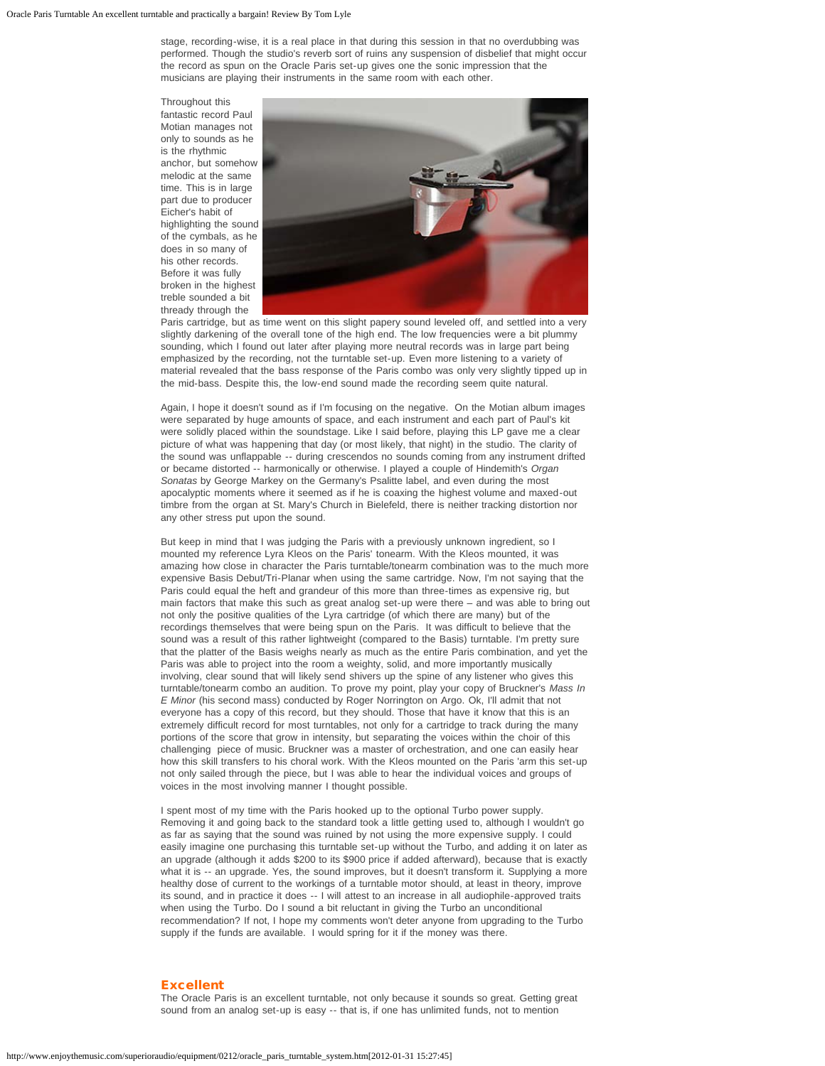stage, recording-wise, it is a real place in that during this session in that no overdubbing was performed. Though the studio's reverb sort of ruins any suspension of disbelief that might occur the record as spun on the Oracle Paris set-up gives one the sonic impression that the musicians are playing their instruments in the same room with each other.

Throughout this fantastic record Paul Motian manages not only to sounds as he is the rhythmic anchor, but somehow melodic at the same time. This is in large part due to producer Eicher's habit of highlighting the sound of the cymbals, as he does in so many of his other records. Before it was fully broken in the highest treble sounded a bit thready through the



Paris cartridge, but as time went on this slight papery sound leveled off, and settled into a very slightly darkening of the overall tone of the high end. The low frequencies were a bit plummy sounding, which I found out later after playing more neutral records was in large part being emphasized by the recording, not the turntable set-up. Even more listening to a variety of material revealed that the bass response of the Paris combo was only very slightly tipped up in the mid-bass. Despite this, the low-end sound made the recording seem quite natural.

Again, I hope it doesn't sound as if I'm focusing on the negative. On the Motian album images were separated by huge amounts of space, and each instrument and each part of Paul's kit were solidly placed within the soundstage. Like I said before, playing this LP gave me a clear picture of what was happening that day (or most likely, that night) in the studio. The clarity of the sound was unflappable -- during crescendos no sounds coming from any instrument drifted or became distorted -- harmonically or otherwise. I played a couple of Hindemith's *Organ Sonatas* by George Markey on the Germany's Psalitte label, and even during the most apocalyptic moments where it seemed as if he is coaxing the highest volume and maxed-out timbre from the organ at St. Mary's Church in Bielefeld, there is neither tracking distortion nor any other stress put upon the sound.

But keep in mind that I was judging the Paris with a previously unknown ingredient, so I mounted my reference Lyra Kleos on the Paris' tonearm. With the Kleos mounted, it was amazing how close in character the Paris turntable/tonearm combination was to the much more expensive Basis Debut/Tri-Planar when using the same cartridge. Now, I'm not saying that the Paris could equal the heft and grandeur of this more than three-times as expensive rig, but main factors that make this such as great analog set-up were there – and was able to bring out not only the positive qualities of the Lyra cartridge (of which there are many) but of the recordings themselves that were being spun on the Paris. It was difficult to believe that the sound was a result of this rather lightweight (compared to the Basis) turntable. I'm pretty sure that the platter of the Basis weighs nearly as much as the entire Paris combination, and yet the Paris was able to project into the room a weighty, solid, and more importantly musically involving, clear sound that will likely send shivers up the spine of any listener who gives this turntable/tonearm combo an audition. To prove my point, play your copy of Bruckner's *Mass In E Minor* (his second mass) conducted by Roger Norrington on Argo. Ok, I'll admit that not everyone has a copy of this record, but they should. Those that have it know that this is an extremely difficult record for most turntables, not only for a cartridge to track during the many portions of the score that grow in intensity, but separating the voices within the choir of this challenging piece of music. Bruckner was a master of orchestration, and one can easily hear how this skill transfers to his choral work. With the Kleos mounted on the Paris 'arm this set-up not only sailed through the piece, but I was able to hear the individual voices and groups of voices in the most involving manner I thought possible.

I spent most of my time with the Paris hooked up to the optional Turbo power supply. Removing it and going back to the standard took a little getting used to, although I wouldn't go as far as saying that the sound was ruined by not using the more expensive supply. I could easily imagine one purchasing this turntable set-up without the Turbo, and adding it on later as an upgrade (although it adds \$200 to its \$900 price if added afterward), because that is exactly what it is -- an upgrade. Yes, the sound improves, but it doesn't transform it. Supplying a more healthy dose of current to the workings of a turntable motor should, at least in theory, improve its sound, and in practice it does -- I will attest to an increase in all audiophile-approved traits when using the Turbo. Do I sound a bit reluctant in giving the Turbo an unconditional recommendation? If not, I hope my comments won't deter anyone from upgrading to the Turbo supply if the funds are available. I would spring for it if the money was there.

# Excellent

The Oracle Paris is an excellent turntable, not only because it sounds so great. Getting great sound from an analog set-up is easy -- that is, if one has unlimited funds, not to mention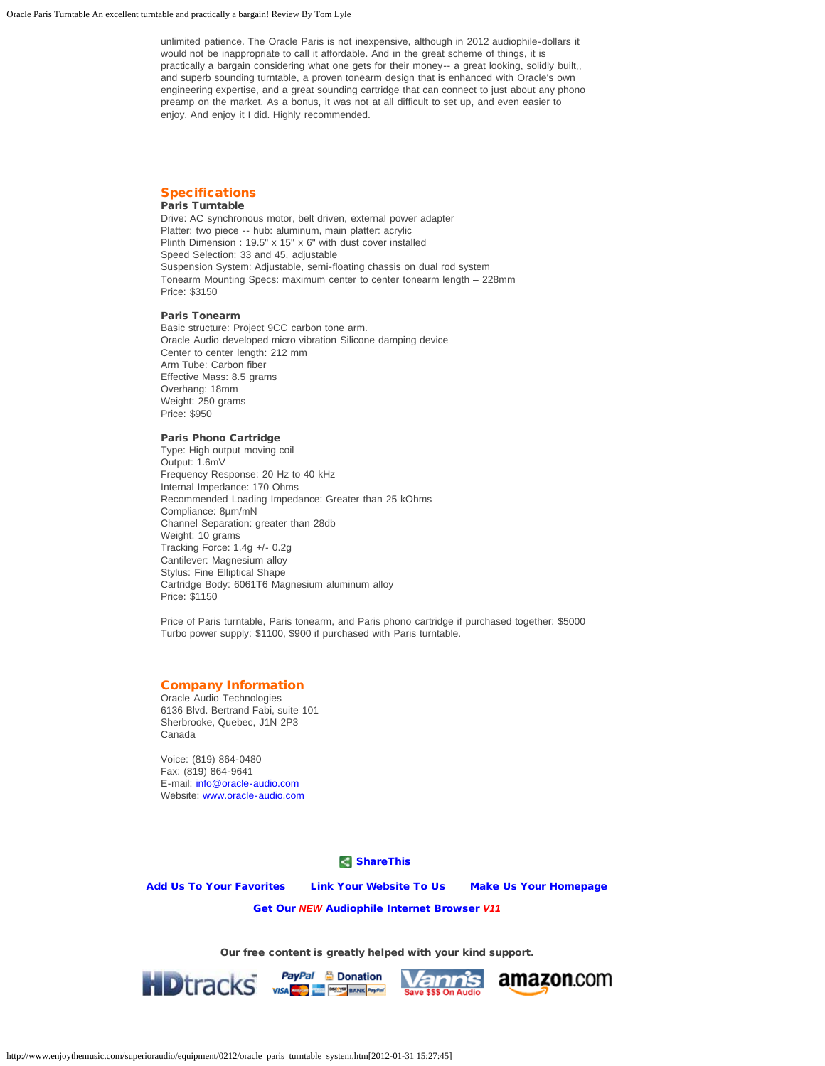unlimited patience. The Oracle Paris is not inexpensive, although in 2012 audiophile-dollars it would not be inappropriate to call it affordable. And in the great scheme of things, it is practically a bargain considering what one gets for their money-- a great looking, solidly built,, and superb sounding turntable, a proven tonearm design that is enhanced with Oracle's own engineering expertise, and a great sounding cartridge that can connect to just about any phono preamp on the market. As a bonus, it was not at all difficult to set up, and even easier to enjoy. And enjoy it I did. Highly recommended.

# **Specifications**

# Paris Turntable

Drive: AC synchronous motor, belt driven, external power adapter Platter: two piece -- hub: aluminum, main platter: acrylic Plinth Dimension : 19.5" x 15" x 6" with dust cover installed Speed Selection: 33 and 45, adjustable Suspension System: Adjustable, semi-floating chassis on dual rod system Tonearm Mounting Specs: maximum center to center tonearm length – 228mm Price: \$3150

### Paris Tonearm

Basic structure: Project 9CC carbon tone arm. Oracle Audio developed micro vibration Silicone damping device Center to center length: 212 mm Arm Tube: Carbon fiber Effective Mass: 8.5 grams Overhang: 18mm Weight: 250 grams Price: \$950

### Paris Phono Cartridge

Type: High output moving coil Output: 1.6mV Frequency Response: 20 Hz to 40 kHz Internal Impedance: 170 Ohms Recommended Loading Impedance: Greater than 25 kOhms Compliance: 8µm/mN Channel Separation: greater than 28db Weight: 10 grams Tracking Force: 1.4g +/- 0.2g Cantilever: Magnesium alloy Stylus: Fine Elliptical Shape Cartridge Body: 6061T6 Magnesium aluminum alloy Price: \$1150

Price of Paris turntable, Paris tonearm, and Paris phono cartridge if purchased together: \$5000 Turbo power supply: \$1100, \$900 if purchased with Paris turntable.

### Company Information

Oracle Audio Technologies 6136 Blvd. Bertrand Fabi, suite 101 Sherbrooke, Quebec, J1N 2P3 Canada

Voice: (819) 864-0480 Fax: (819) 864-9641 E-mail: [info@oracle-audio.com](mailto:info@oracle-audio.com) Website: [www.oracle-audio.com](http://www.oracle-audio.com/)

**[ShareThis](javascript:void(0))** 

[Add Us To Your Favorites](javascript:window.external.AddFavorite() [Link Your Website To Us](http://www.enjoythemusic.com/linktous/) [Make Us Your Homepage](http://www.enjoythemusic.com/)

[Get Our](http://www.enjoythemusic.com/browser/) *[NEW](http://www.enjoythemusic.com/browser/)* [Audiophile Internet Browser](http://www.enjoythemusic.com/browser/) *V11*

Our free content is greatly helped with your kind support.

**PayPar & Donation** 

PayPal & Donation